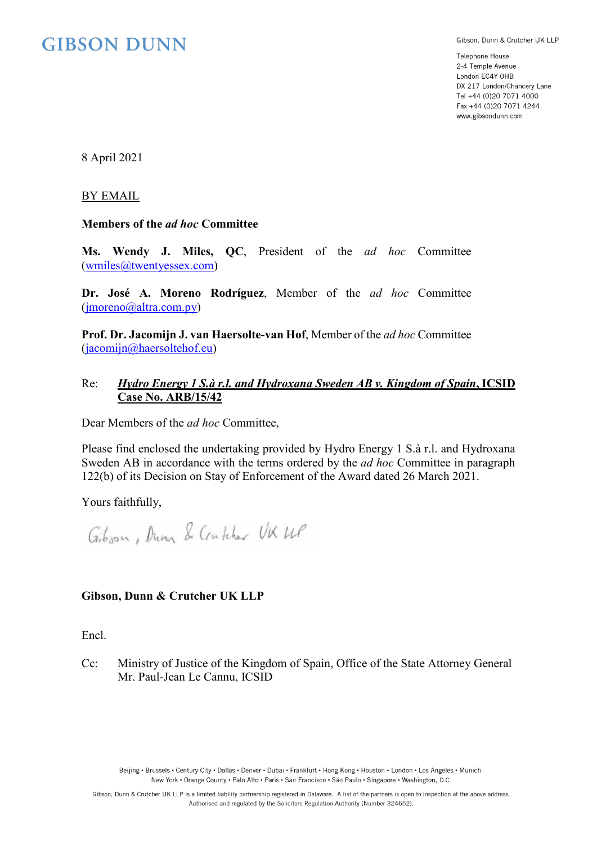# **GIBSON DUNN**

Gibson, Dunn & Crutcher UK LLP

Telephone House 2-4 Temple Avenue London EC4Y OHB DX 217 London/Chancery Lane Tel +44 (0)20 7071 4000 Fax +44 (0)20 7071 4244 www.gibsondunn.com

8 April 2021

#### BY EMAIL

### **Members of the** *ad hoc* **Committee**

**Ms. Wendy J. Miles, QC**, President of the *ad hoc* Committee [\(wmiles@twentyessex.com\)](mailto:wmiles@twentyessex.com)

**Dr. José A. Moreno Rodríguez**, Member of the *ad hoc* Committee [\(jmoreno@altra.com.py\)](mailto:jmoreno@altra.com.py)

**Prof. Dr. Jacomijn J. van Haersolte-van Hof**, Member of the *ad hoc* Committee [\(jacomijn@haersoltehof.eu\)](mailto:jacomijn@haersoltehof.eu)

### Re: *Hydro Energy 1 S.à r.l. and Hydroxana Sweden AB v. Kingdom of Spain***, ICSID Case No. ARB/15/42**

Dear Members of the *ad hoc* Committee,

Please find enclosed the undertaking provided by Hydro Energy 1 S.à r.l. and Hydroxana Sweden AB in accordance with the terms ordered by the *ad hoc* Committee in paragraph 122(b) of its Decision on Stay of Enforcement of the Award dated 26 March 2021.

Yours faithfully,

Gibson, Dunn & Crutcher UK UP

## **Gibson, Dunn & Crutcher UK LLP**

Encl.

Cc: Ministry of Justice of the Kingdom of Spain, Office of the State Attorney General Mr. Paul-Jean Le Cannu, ICSID

Beijing · Brussels · Century City · Dallas · Denver · Dubai · Frankfurt · Hong Kong · Houston · London · Los Angeles · Munich New York • Orange County • Palo Alto • Paris • San Francisco • São Paulo • Singapore • Washington, D.C.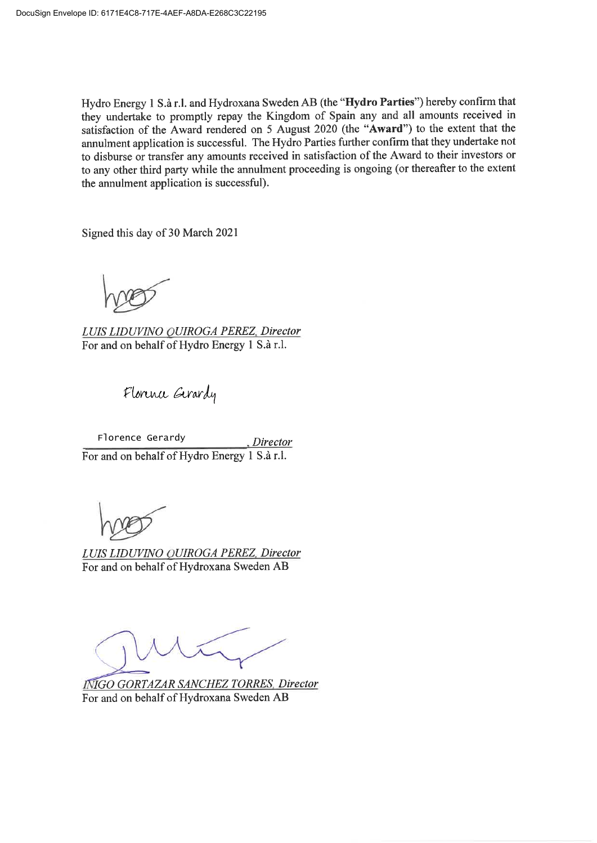Hydro Energy 1 S.à r.l. and Hydroxana Sweden AB (the "Hydro Parties") hereby confirm that they undertake to promptly repay the Kingdom of Spain any and all amounts received in satisfaction of the Award rendered on 5 August 2020 (the "Award") to the extent that the annulment application is successful. The Hydro Parties further confirm that they undertake not to disburse or transfer any amounts received in satisfaction of the Award to their investors or to any other third party while the annulment proceeding is ongoing (or thereafter to the extent the annulment application is successful).

Signed this day of 30 March 2021

LUIS LIDUVINO OUIROGA PEREZ, Director For and on behalf of Hydro Energy 1 S.à r.l.

Florence Gerardy

Florence Gerardy .Director For and on behalf of Hydro Energy 1 S.à r.l.

LUIS LIDUVINO QUIROGA PEREZ, Director For and on behalf of Hydroxana Sweden AB

**INIGO GORTAZAR SANCHEZ TORRES, Director** For and on behalf of Hydroxana Sweden AB